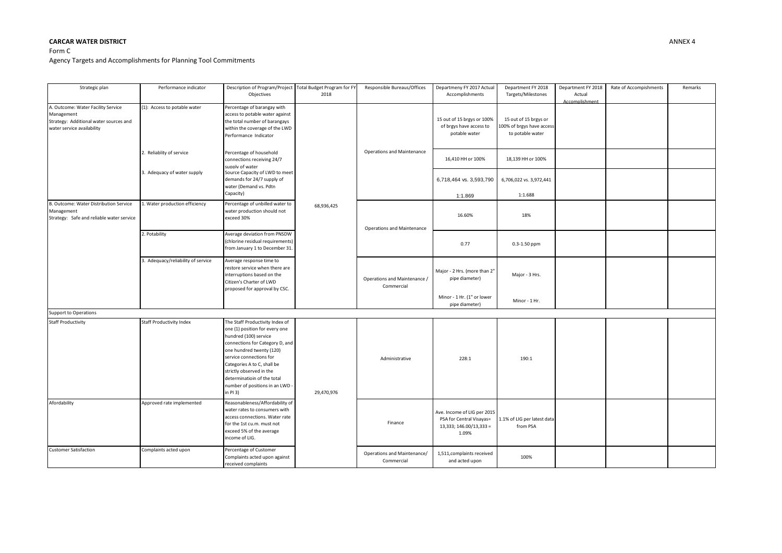## **CARCAR WATER DISTRICT** ANNEX 4

## Form C Agency Targets and Accomplishments for Planning Tool Commitments

| Strategic plan                                                                                                           | Performance indicator              | Description of Program/Project Total Budget Program for FY<br>Objectives                                                                                                                                                                                                                                                      | 2018       | Responsible Bureaus/Offices                | Departmeny FY 2017 Actual<br>Accomplishments                                                | Department FY 2018<br>Targets/Milestones                               | Department FY 2018<br>Actual<br>Accomplishment | Rate of Accompishments | Remarks |
|--------------------------------------------------------------------------------------------------------------------------|------------------------------------|-------------------------------------------------------------------------------------------------------------------------------------------------------------------------------------------------------------------------------------------------------------------------------------------------------------------------------|------------|--------------------------------------------|---------------------------------------------------------------------------------------------|------------------------------------------------------------------------|------------------------------------------------|------------------------|---------|
| A. Outcome: Water Facility Service<br>Management<br>Strategy: Additional water sources and<br>water service availability | (1): Access to potable water       | Percentage of barangay with<br>access to potable water against<br>the total number of barangays<br>within the coverage of the LWD<br>Performance Indicator                                                                                                                                                                    | 68,936,425 | Operations and Maintenance                 | 15 out of 15 brgys or 100%<br>of brgys have access to<br>potable water                      | 15 out of 15 brgys or<br>100% of brgys have access<br>to potable water |                                                |                        |         |
|                                                                                                                          | 2. Reliablity of service           | Percentage of household<br>connections receiving 24/7<br>supply of water                                                                                                                                                                                                                                                      |            |                                            | 16,410 HH or 100%                                                                           | 18,139 HH or 100%                                                      |                                                |                        |         |
|                                                                                                                          | 3. Adequacy of water supply        | Source Capacity of LWD to meet<br>demands for 24/7 supply of<br>water (Demand vs. Pdtn<br>Capacity)                                                                                                                                                                                                                           |            |                                            | 6,718,464 vs. 3,593,790<br>1:1.869                                                          | 6,706,022 vs. 3,972,441<br>1:1.688                                     |                                                |                        |         |
| B. Outcome: Water Distribution Service<br>Management<br>Strategy: Safe and reliable water service                        | 1. Water production efficiency     | Percentage of unbilled water to<br>water production should not<br>exceed 30%                                                                                                                                                                                                                                                  |            | <b>Operations and Maintenance</b>          | 16.60%                                                                                      | 18%                                                                    |                                                |                        |         |
|                                                                                                                          | 2. Potability                      | Average deviation from PNSDW<br>(chlorine residual requirements)<br>from January 1 to December 31.                                                                                                                                                                                                                            |            |                                            | 0.77                                                                                        | 0.3-1.50 ppm                                                           |                                                |                        |         |
|                                                                                                                          | 3. Adequacy/reliability of service | Average response time to<br>restore service when there are<br>interruptions based on the<br>Citizen's Charter of LWD<br>proposed for approval by CSC.                                                                                                                                                                         |            | Operations and Maintenance /<br>Commercial | Major - 2 Hrs. (more than 2"<br>pipe diameter)                                              | Major - 3 Hrs.                                                         |                                                |                        |         |
|                                                                                                                          |                                    |                                                                                                                                                                                                                                                                                                                               |            |                                            | Minor - 1 Hr. (1" or lower<br>pipe diameter)                                                | Minor - 1 Hr.                                                          |                                                |                        |         |
| Support to Operations                                                                                                    |                                    |                                                                                                                                                                                                                                                                                                                               |            |                                            |                                                                                             |                                                                        |                                                |                        |         |
| <b>Staff Productivity</b>                                                                                                | <b>Staff Productivity Index</b>    | The Staff Productivity Index of<br>one (1) position for every one<br>hundred (100) service<br>connections for Category D, and<br>one hundred twenty (120)<br>service connections for<br>Categories A to C, shall be<br>strictly observed in the<br>determinatioin of the total<br>number of positions in an LWD -<br>in PI 3) | 29,470,976 | Administrative                             | 228:1                                                                                       | 190:1                                                                  |                                                |                        |         |
| Afordability                                                                                                             | Approved rate implemented          | Reasonableness/Affordability of<br>water rates to consumers with<br>access connections. Water rate<br>for the 1st cu.m. must not<br>exceed 5% of the average<br>income of LIG.                                                                                                                                                |            | Finance                                    | Ave. Income of LIG per 2015<br>PSA for Central Visayas=<br>13,333; 146.00/13,333 =<br>1.09% | 1.1% of LIG per latest data<br>from PSA                                |                                                |                        |         |
| <b>Customer Satisfaction</b>                                                                                             | Complaints acted upon              | Percentage of Customer<br>Complaints acted upon against<br>received complaints                                                                                                                                                                                                                                                |            | Operations and Maintenance/<br>Commercial  | 1,511, complaints received<br>and acted upon                                                | 100%                                                                   |                                                |                        |         |